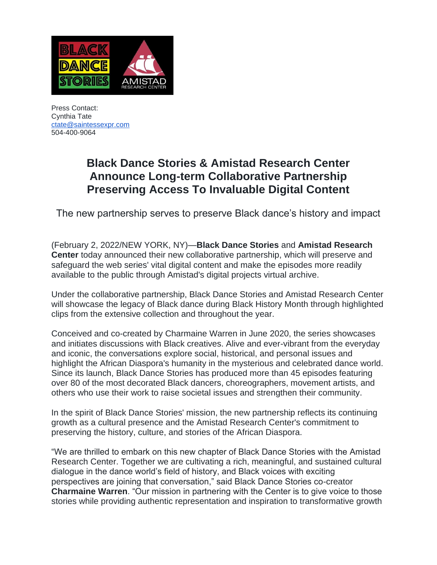

Press Contact: Cynthia Tate [ctate@saintessexpr.com](mailto:ctate@saintessexpr.com) 504-400-9064

## **Black Dance Stories & Amistad Research Center Announce Long-term Collaborative Partnership Preserving Access To Invaluable Digital Content**

The new partnership serves to preserve Black dance's history and impact

(February 2, 2022/NEW YORK, NY)—**Black Dance Stories** and **Amistad Research Center** today announced their new collaborative partnership, which will preserve and safeguard the web series' vital digital content and make the episodes more readily available to the public through Amistad's digital projects virtual archive.

Under the collaborative partnership, Black Dance Stories and Amistad Research Center will showcase the legacy of Black dance during Black History Month through highlighted clips from the extensive collection and throughout the year.

Conceived and co-created by Charmaine Warren in June 2020, the series showcases and initiates discussions with Black creatives. Alive and ever-vibrant from the everyday and iconic, the conversations explore social, historical, and personal issues and highlight the African Diaspora's humanity in the mysterious and celebrated dance world. Since its launch, Black Dance Stories has produced more than 45 episodes featuring over 80 of the most decorated Black dancers, choreographers, movement artists, and others who use their work to raise societal issues and strengthen their community.

In the spirit of Black Dance Stories' mission, the new partnership reflects its continuing growth as a cultural presence and the Amistad Research Center's commitment to preserving the history, culture, and stories of the African Diaspora.

"We are thrilled to embark on this new chapter of Black Dance Stories with the Amistad Research Center. Together we are cultivating a rich, meaningful, and sustained cultural dialogue in the dance world's field of history, and Black voices with exciting perspectives are joining that conversation," said Black Dance Stories co-creator **Charmaine Warren**. "Our mission in partnering with the Center is to give voice to those stories while providing authentic representation and inspiration to transformative growth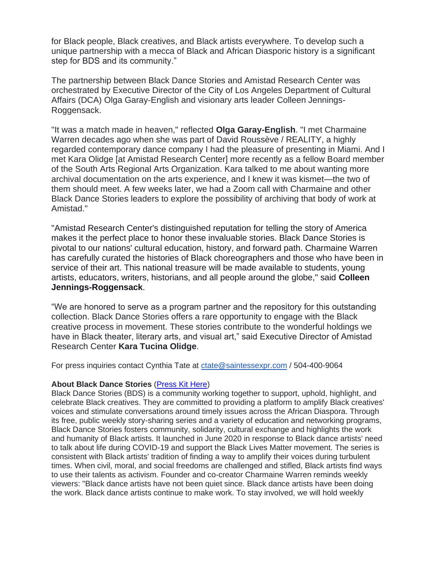for Black people, Black creatives, and Black artists everywhere. To develop such a unique partnership with a mecca of Black and African Diasporic history is a significant step for BDS and its community."

The partnership between Black Dance Stories and Amistad Research Center was orchestrated by Executive Director of the City of Los Angeles Department of Cultural Affairs (DCA) Olga Garay-English and visionary arts leader Colleen Jennings-Roggensack.

"It was a match made in heaven," reflected **Olga Garay-English**. "I met Charmaine Warren decades ago when she was part of David Roussève / REALITY, a highly regarded contemporary dance company I had the pleasure of presenting in Miami. And I met Kara Olidge [at Amistad Research Center] more recently as a fellow Board member of the South Arts Regional Arts Organization. Kara talked to me about wanting more archival documentation on the arts experience, and I knew it was kismet—the two of them should meet. A few weeks later, we had a Zoom call with Charmaine and other Black Dance Stories leaders to explore the possibility of archiving that body of work at Amistad."

"Amistad Research Center's distinguished reputation for telling the story of America makes it the perfect place to honor these invaluable stories. Black Dance Stories is pivotal to our nations' cultural education, history, and forward path. Charmaine Warren has carefully curated the histories of Black choreographers and those who have been in service of their art. This national treasure will be made available to students, young artists, educators, writers, historians, and all people around the globe," said **Colleen Jennings-Roggensack**.

"We are honored to serve as a program partner and the repository for this outstanding collection. Black Dance Stories offers a rare opportunity to engage with the Black creative process in movement. These stories contribute to the wonderful holdings we have in Black theater, literary arts, and visual art," said Executive Director of Amistad Research Center **Kara Tucina Olidge**.

For press inquiries contact Cynthia Tate at [ctate@saintessexpr.com](mailto:ctate@saintessexpr.com) / 504-400-9064

## **About Black Dance Stories** [\(Press Kit Here\)](https://drive.google.com/drive/folders/10ltiERwCb5Xy0LOlrfBPxuLFEfdWQguf?usp=sharing)

Black Dance Stories (BDS) is a community working together to support, uphold, highlight, and celebrate Black creatives. They are committed to providing a platform to amplify Black creatives' voices and stimulate conversations around timely issues across the African Diaspora. Through its free, public weekly story-sharing series and a variety of education and networking programs, Black Dance Stories fosters community, solidarity, cultural exchange and highlights the work and humanity of Black artists. It launched in June 2020 in response to Black dance artists' need to talk about life during COVID-19 and support the Black Lives Matter movement. The series is consistent with Black artists' tradition of finding a way to amplify their voices during turbulent times. When civil, moral, and social freedoms are challenged and stifled, Black artists find ways to use their talents as activism. Founder and co-creator Charmaine Warren reminds weekly viewers: "Black dance artists have not been quiet since. Black dance artists have been doing the work. Black dance artists continue to make work. To stay involved, we will hold weekly